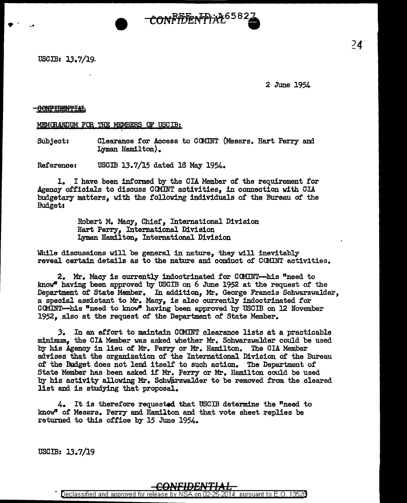USCIB: 13.7/19

 $\bullet$  . .

2 June 1954

## **CONFIDENTIAL**

MEMORANDUM FOR THE MEMBERS OF USCIB:

Subject: Clearance tor Access to GCMINT (Messrs. Hart Perry and Lyman Hamilton).

CONFIDEN PraL<sup>6582</sup>

Reference: USCIB 13.7/15 dated 18 May 1954.

1. I have been informed by the CIA Member of the requirement for Agency officials to discuss CCMINT activities, in connection with OIA budgetary matters, with the following individuals of the Bureau of the Budget:

> Robert M. Macy, Chief, International Division Hart Perry, International Division Lyman Hamilton, International Division

While discussions will be general in nature, they will inevitably reveal certain details as to the nature and conduct of COMINT activities.

2. Mr. Macy is currently indoctrinated for COMINT--his "need to lmow" having been approved by USCIB on 6 June 1952 at the request or the Department of State Member. In addition, Mr. George Francis Schwarzwalder, a special assistant to Mr. Macy, is also currently indoctrinated for CCMINT-his "need to know" having been approved by USCIB on 12 November 1952, also at the request of the Department of State Member.

3. In an effort to maintain COMINT clearance lists at a practicable minimum, the CIA Member was asked whether Mr. Schwarzwalder could be used by his Agency in lieu of Mr. Perry or Mr. Hamilton. The CIA Member advises that the organization of the International Division of the Bureau of the Budget does not lend itself' to such action. The Department of State Member has been asked if Mr. Perry or Mr. Hamilton could be used by his activity allowing Mr. Scbi/6.rzwalder to be removed from the cleared list and is studying that proposal.

4. It is therefore requested. that USCIB determine the "need to know" of Messrs. Perry and Hamilton and that vote sheet replies be returned to this office by 15 June 1954.

USCIB:  $13.7/19$